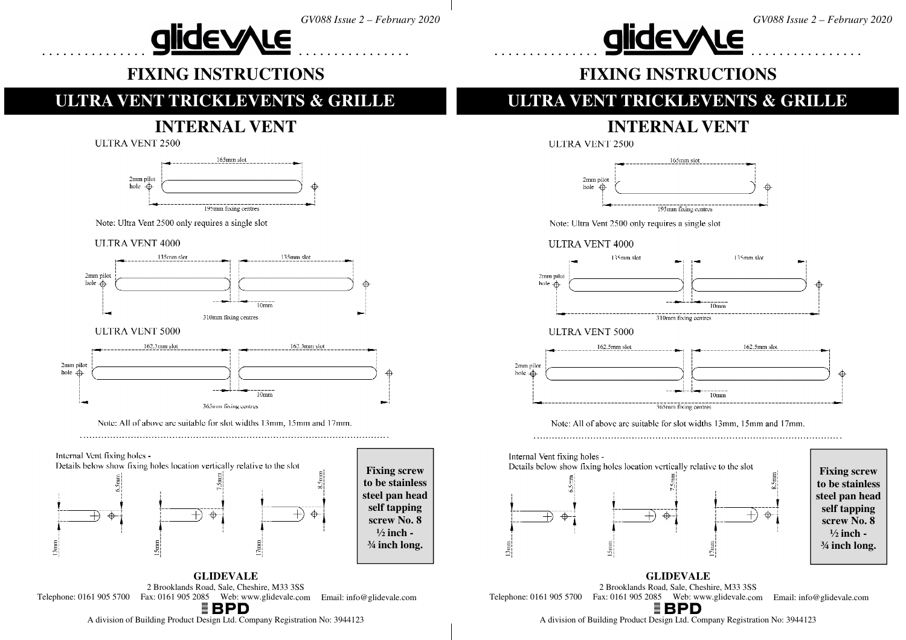



#### **alidevyle ................................**

## **FIXING INSTRUCTIONS**

#### **ULTRA VENT TRICKLEVENTS & GRILLE**

# **INTERNAL VENT**

**ULTRA VENT 2500** 



Note: Ultra Vent 2500 only requires a single slot

**ULTRA VENT 4000** 



#### **ULTRA VENT 5000**



Note: All of above are suitable for slot widths 13mm, 15mm and 17mm.



**GLIDEVALE** 2 Brooklands Road, Sale, Cheshire, M33 3SS1 905 2085 Web: www.glidevale.com Email: info@glidevale.com Telephone: 0161 <sup>905</sup> <sup>5700</sup> Fax: <sup>0161</sup>

**FIXING INSTRUCTIONS** 

## **ULTRA VENT TRICKLEVENTS & GRILLE**

# **INTERNAL VENT**

**ULTRA VENT 2500** 



Note: Ultra Vent 2500 only requires a single slot

#### **ULTRA VENT 4000**



#### **ULTRA VENT 5000**



Note: All of above are suitable for slot widths 13mm, 15mm and 17mm



**Fixing screw to be stainless steel pan head self tapping screw No. 8 ½ inch - ¾ inch long.** 

**GLIDEVALE** 2 Brooklands Road, Sale, Cheshire, M33 3SSTelephone: 0161 905 5700 Fax: 0161 905 2085 Web: www.glidevale.com Email: info@glidevale.com

A division of Building Product Design Ltd. Company Registration No: <sup>3944123</sup>

A division of Building Product Design Ltd. Company Registration No: <sup>3944123</sup>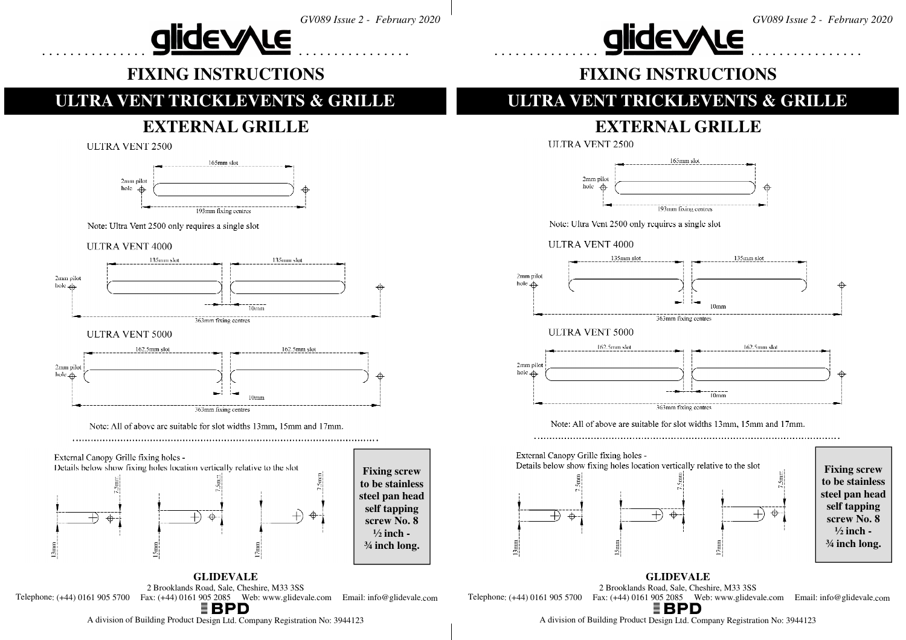



#### **alidevyle ................................**

## **FIXING INSTRUCTIONS**

### **ULTRA VENT TRICKLEVENTS & GRILLE**

## **EXTERNAL GRILLE**

**ULTRA VENT 2500** 



Note: Ultra Vent 2500 only requires a single slot

**ULTRA VENT 4000** 



# **½ inch - ¾ inch long.**

**GLIDEVALE** 2 Brooklands Road, Sale, Cheshire, M33 3SSTelephone:  $(+44)$  0161 905 5700 Fax:  $(+44)$  0161 905 2085 Web: www.glidevale.com Email: info@glidevale.com **FIXING INSTRUCTIONS** 

## **ULTRA VENT TRICKLEVENTS & GRILLE**

# **EXTERNAL GRILLE**

**ULTRA VENT 2500** 



Note: Ultra Vent 2500 only requires a single slot





Note: All of above are suitable for slot widths 13mm, 15mm and 17mm.



**Fixing screw to be stainless steel pan head self tapping screw No. 8 ½ inch - ¾ inch long.** 

**GLIDEVALE** 2 Brooklands Road, Sale, Cheshire, M33 3SSTelephone:  $(+44)$  0161 905 5700 Fax:  $(+44)$  0161 905 2085 Web: www.glidevale.com Email: info@glidevale.com

A division of Building Product Design Ltd. Company Registration No: <sup>3944123</sup>

A division of Building Product Design Ltd. Company Registration No: <sup>3944123</sup>